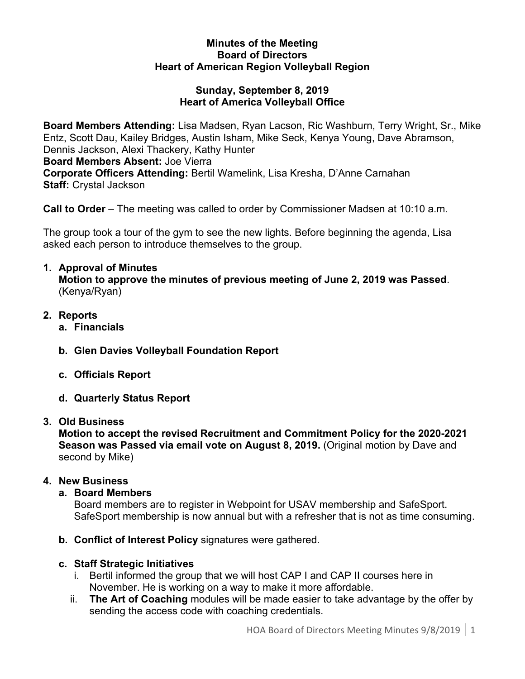#### **Minutes of the Meeting Board of Directors Heart of American Region Volleyball Region**

#### **Sunday, September 8, 2019 Heart of America Volleyball Office**

**Board Members Attending:** Lisa Madsen, Ryan Lacson, Ric Washburn, Terry Wright, Sr., Mike Entz, Scott Dau, Kailey Bridges, Austin Isham, Mike Seck, Kenya Young, Dave Abramson, Dennis Jackson, Alexi Thackery, Kathy Hunter

**Board Members Absent:** Joe Vierra

**Corporate Officers Attending:** Bertil Wamelink, Lisa Kresha, D'Anne Carnahan **Staff:** Crystal Jackson

**Call to Order** – The meeting was called to order by Commissioner Madsen at 10:10 a.m.

The group took a tour of the gym to see the new lights. Before beginning the agenda, Lisa asked each person to introduce themselves to the group.

## **1. Approval of Minutes**

**Motion to approve the minutes of previous meeting of June 2, 2019 was Passed**. (Kenya/Ryan)

- **2. Reports**
	- **a. Financials**
	- **b. Glen Davies Volleyball Foundation Report**
	- **c. Officials Report**
	- **d. Quarterly Status Report**

## **3. Old Business**

**Motion to accept the revised Recruitment and Commitment Policy for the 2020-2021 Season was Passed via email vote on August 8, 2019.** (Original motion by Dave and second by Mike)

### **4. New Business**

### **a. Board Members**

Board members are to register in Webpoint for USAV membership and SafeSport. SafeSport membership is now annual but with a refresher that is not as time consuming.

**b. Conflict of Interest Policy** signatures were gathered.

# **c. Staff Strategic Initiatives**

- i. Bertil informed the group that we will host CAP I and CAP II courses here in November. He is working on a way to make it more affordable.
- ii. **The Art of Coaching** modules will be made easier to take advantage by the offer by sending the access code with coaching credentials.